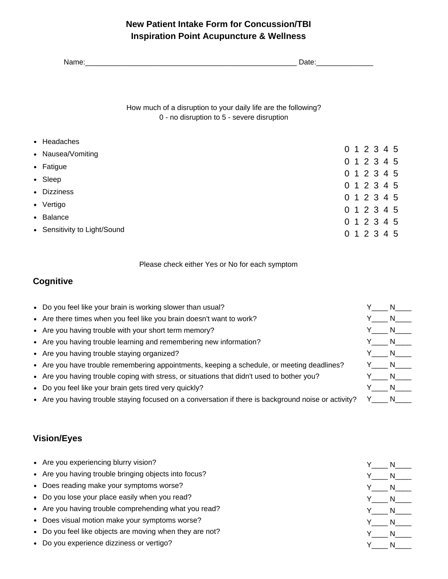## **New Patient Intake Form for Concussion/TBI Inspiration Point Acupuncture & Wellness**

| Name:                        | Date:                                                                                                        |  |             |  |  |  |  |
|------------------------------|--------------------------------------------------------------------------------------------------------------|--|-------------|--|--|--|--|
|                              | How much of a disruption to your daily life are the following?<br>0 - no disruption to 5 - severe disruption |  |             |  |  |  |  |
| • Headaches                  |                                                                                                              |  |             |  |  |  |  |
| • Nausea/Vomiting            |                                                                                                              |  | 0 1 2 3 4 5 |  |  |  |  |
| • Fatigue                    |                                                                                                              |  | 0 1 2 3 4 5 |  |  |  |  |
| • Sleep                      |                                                                                                              |  | 0 1 2 3 4 5 |  |  |  |  |
|                              |                                                                                                              |  | 0 1 2 3 4 5 |  |  |  |  |
| • Dizziness                  |                                                                                                              |  | 0 1 2 3 4 5 |  |  |  |  |
| • Vertigo                    |                                                                                                              |  | 0 1 2 3 4 5 |  |  |  |  |
| • Balance                    |                                                                                                              |  | 0 1 2 3 4 5 |  |  |  |  |
| • Sensitivity to Light/Sound |                                                                                                              |  | 0 1 2 3 4 5 |  |  |  |  |

Please check either Yes or No for each symptom

#### **Cognitive**

Do you feel like your brain is working slower than usual? Y\_\_\_\_ N\_\_\_\_  $\bullet$ Are there times when you feel like you brain doesn't want to work? Y\_\_\_\_ N\_\_\_\_  $\bullet$ Y N  $\bullet$ Are you having trouble with your short term memory? Y N • Are you having trouble learning and remembering new information?  $Y$  N Are you having trouble staying organized?  $\bullet$  $Y_{\_N_{\_N_{\_}}$ • Are you have trouble remembering appointments, keeping a schedule, or meeting deadlines? Are you having trouble coping with stress, or situations that didn't used to bother you? Y N Y N Do you feel like your brain gets tired very quickly? • Are you having trouble staying focused on a conversation if there is background noise or activity? Y N

#### **Vision/Eyes**

| • Are you experiencing blurry vision?                 |
|-------------------------------------------------------|
| • Are you having trouble bringing objects into focus? |
| • Does reading make your symptoms worse?              |
| • Do you lose your place easily when you read?        |
| • Are you having trouble comprehending what you read? |

- Does visual motion make your symptoms worse?
- Do you feel like objects are moving when they are not?  $\bullet$
- Do you experience dizziness or vertigo?

| N  |
|----|
| N. |
| N. |
| N. |
| N. |
| N  |
| N  |
| N  |